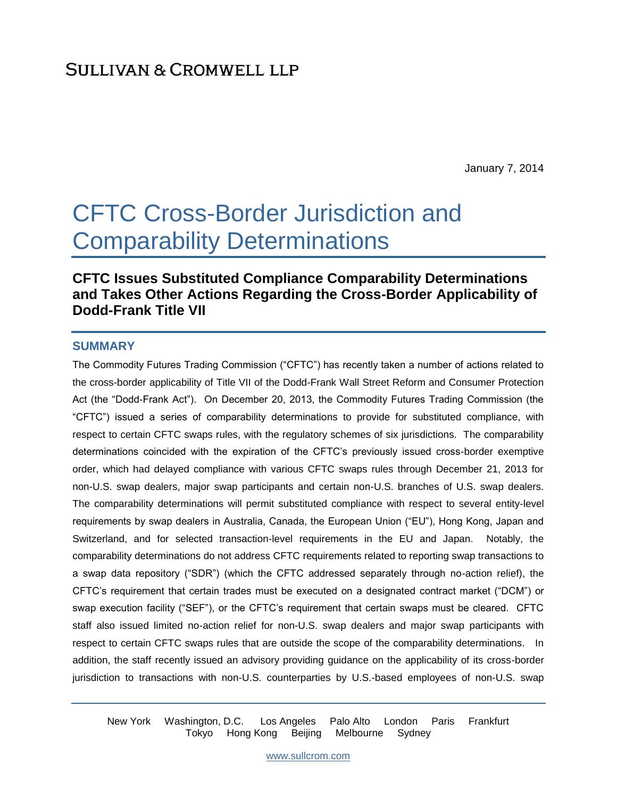January 7, 2014

# CFTC Cross-Border Jurisdiction and Comparability Determinations

# **CFTC Issues Substituted Compliance Comparability Determinations and Takes Other Actions Regarding the Cross-Border Applicability of Dodd-Frank Title VII**

#### **SUMMARY**

The Commodity Futures Trading Commission ("CFTC") has recently taken a number of actions related to the cross-border applicability of Title VII of the Dodd-Frank Wall Street Reform and Consumer Protection Act (the "Dodd-Frank Act"). On December 20, 2013, the Commodity Futures Trading Commission (the "CFTC") issued a series of comparability determinations to provide for substituted compliance, with respect to certain CFTC swaps rules, with the regulatory schemes of six jurisdictions. The comparability determinations coincided with the expiration of the CFTC's previously issued cross-border exemptive order, which had delayed compliance with various CFTC swaps rules through December 21, 2013 for non-U.S. swap dealers, major swap participants and certain non-U.S. branches of U.S. swap dealers. The comparability determinations will permit substituted compliance with respect to several entity-level requirements by swap dealers in Australia, Canada, the European Union ("EU"), Hong Kong, Japan and Switzerland, and for selected transaction-level requirements in the EU and Japan. Notably, the comparability determinations do not address CFTC requirements related to reporting swap transactions to a swap data repository ("SDR") (which the CFTC addressed separately through no-action relief), the CFTC's requirement that certain trades must be executed on a designated contract market ("DCM") or swap execution facility ("SEF"), or the CFTC's requirement that certain swaps must be cleared. CFTC staff also issued limited no-action relief for non-U.S. swap dealers and major swap participants with respect to certain CFTC swaps rules that are outside the scope of the comparability determinations. In addition, the staff recently issued an advisory providing guidance on the applicability of its cross-border jurisdiction to transactions with non-U.S. counterparties by U.S.-based employees of non-U.S. swap

New York Washington, D.C. Los Angeles Palo Alto London Paris Frankfurt Tokyo Hong Kong Beijing Melbourne Sydney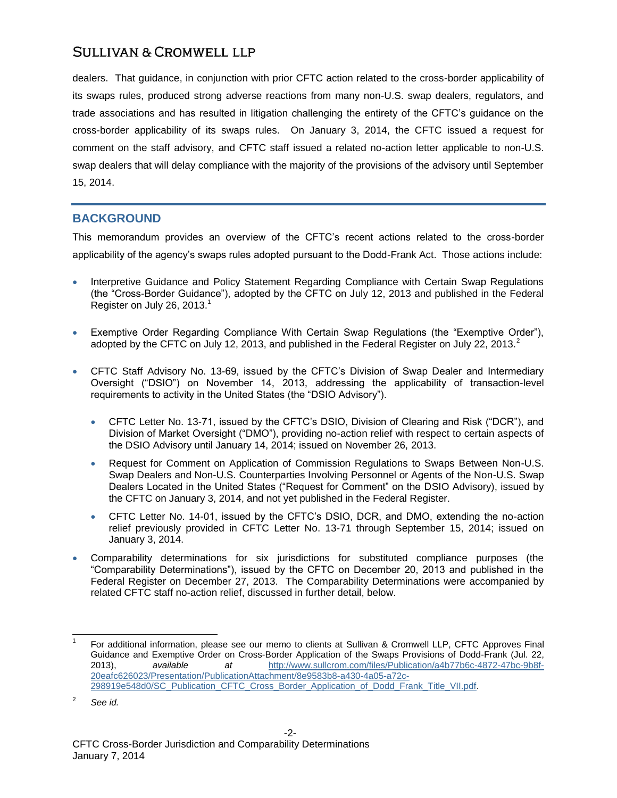dealers. That guidance, in conjunction with prior CFTC action related to the cross-border applicability of its swaps rules, produced strong adverse reactions from many non-U.S. swap dealers, regulators, and trade associations and has resulted in litigation challenging the entirety of the CFTC's guidance on the cross-border applicability of its swaps rules. On January 3, 2014, the CFTC issued a request for comment on the staff advisory, and CFTC staff issued a related no-action letter applicable to non-U.S. swap dealers that will delay compliance with the majority of the provisions of the advisory until September 15, 2014.

## **BACKGROUND**

This memorandum provides an overview of the CFTC's recent actions related to the cross-border applicability of the agency's swaps rules adopted pursuant to the Dodd-Frank Act. Those actions include:

- <span id="page-1-0"></span> Interpretive Guidance and Policy Statement Regarding Compliance with Certain Swap Regulations (the "Cross-Border Guidance"), adopted by the CFTC on July 12, 2013 and published in the Federal Register on July 26, 2013.<sup>1</sup>
- Exemptive Order Regarding Compliance With Certain Swap Regulations (the "Exemptive Order"), adopted by the CFTC on July 12, 2013, and published in the Federal Register on July 22, 2013. $^2$
- CFTC Staff Advisory No. 13-69, issued by the CFTC's Division of Swap Dealer and Intermediary Oversight ("DSIO") on November 14, 2013, addressing the applicability of transaction-level requirements to activity in the United States (the "DSIO Advisory").
	- CFTC Letter No. 13-71, issued by the CFTC's DSIO, Division of Clearing and Risk ("DCR"), and Division of Market Oversight ("DMO"), providing no-action relief with respect to certain aspects of the DSIO Advisory until January 14, 2014; issued on November 26, 2013.
	- Request for Comment on Application of Commission Regulations to Swaps Between Non-U.S. Swap Dealers and Non-U.S. Counterparties Involving Personnel or Agents of the Non-U.S. Swap Dealers Located in the United States ("Request for Comment" on the DSIO Advisory), issued by the CFTC on January 3, 2014, and not yet published in the Federal Register.
	- CFTC Letter No. 14-01, issued by the CFTC's DSIO, DCR, and DMO, extending the no-action relief previously provided in CFTC Letter No. 13-71 through September 15, 2014; issued on January 3, 2014.
- Comparability determinations for six jurisdictions for substituted compliance purposes (the "Comparability Determinations"), issued by the CFTC on December 20, 2013 and published in the Federal Register on December 27, 2013. The Comparability Determinations were accompanied by related CFTC staff no-action relief, discussed in further detail, below.

l

<sup>1</sup> For additional information, please see our memo to clients at Sullivan & Cromwell LLP, CFTC Approves Final Guidance and Exemptive Order on Cross-Border Application of the Swaps Provisions of Dodd-Frank (Jul. 22, 2013), *available at* [http://www.sullcrom.com/files/Publication/a4b77b6c-4872-47bc-9b8f-](http://www.sullcrom.com/files/Publication/a4b77b6c-4872-47bc-9b8f-20eafc626023/Presentation/PublicationAttachment/8e9583b8-a430-4a05-a72c-298919e548d0/SC_Publication_CFTC_Cross_Border_Application_of_Dodd_Frank_Title_VII.pdf)[20eafc626023/Presentation/PublicationAttachment/8e9583b8-a430-4a05-a72c-](http://www.sullcrom.com/files/Publication/a4b77b6c-4872-47bc-9b8f-20eafc626023/Presentation/PublicationAttachment/8e9583b8-a430-4a05-a72c-298919e548d0/SC_Publication_CFTC_Cross_Border_Application_of_Dodd_Frank_Title_VII.pdf)[298919e548d0/SC\\_Publication\\_CFTC\\_Cross\\_Border\\_Application\\_of\\_Dodd\\_Frank\\_Title\\_VII.pdf.](http://www.sullcrom.com/files/Publication/a4b77b6c-4872-47bc-9b8f-20eafc626023/Presentation/PublicationAttachment/8e9583b8-a430-4a05-a72c-298919e548d0/SC_Publication_CFTC_Cross_Border_Application_of_Dodd_Frank_Title_VII.pdf)

<sup>2</sup> *See id.*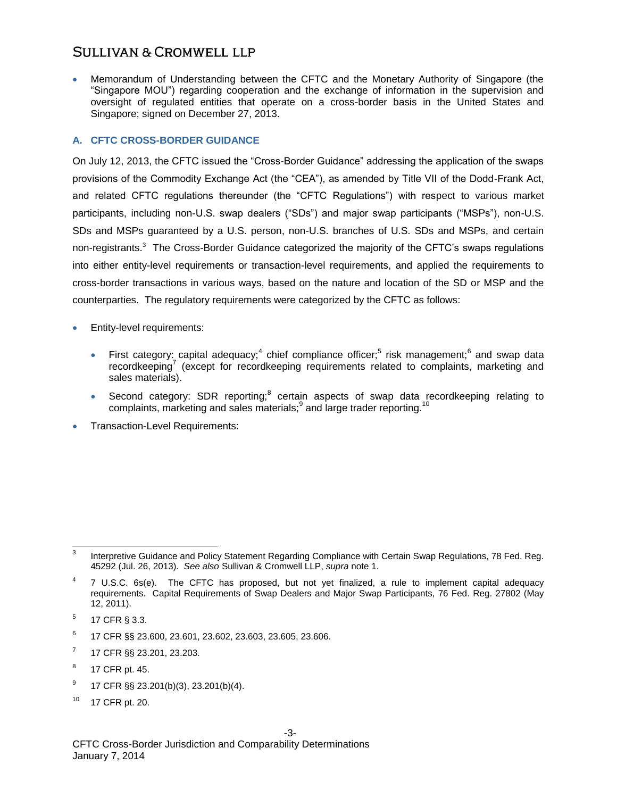Memorandum of Understanding between the CFTC and the Monetary Authority of Singapore (the "Singapore MOU") regarding cooperation and the exchange of information in the supervision and oversight of regulated entities that operate on a cross-border basis in the United States and Singapore; signed on December 27, 2013.

#### **A. CFTC CROSS-BORDER GUIDANCE**

On July 12, 2013, the CFTC issued the "Cross-Border Guidance" addressing the application of the swaps provisions of the Commodity Exchange Act (the "CEA"), as amended by Title VII of the Dodd-Frank Act, and related CFTC regulations thereunder (the "CFTC Regulations") with respect to various market participants, including non-U.S. swap dealers ("SDs") and major swap participants ("MSPs"), non-U.S. SDs and MSPs guaranteed by a U.S. person, non-U.S. branches of U.S. SDs and MSPs, and certain non-registrants.<sup>3</sup> The Cross-Border Guidance categorized the majority of the CFTC's swaps regulations into either entity-level requirements or transaction-level requirements, and applied the requirements to cross-border transactions in various ways, based on the nature and location of the SD or MSP and the counterparties. The regulatory requirements were categorized by the CFTC as follows:

- <span id="page-2-0"></span> Entity-level requirements:
	- First category: capital adequacy;<sup>4</sup> chief compliance officer;<sup>5</sup> risk management;<sup>6</sup> and swap data recordkeeping<sup>7</sup> (except for recordkeeping requirements related to complaints, marketing and sales materials).
	- Second category: SDR reporting; $8$  certain aspects of swap data recordkeeping relating to complaints, marketing and sales materials; $^9$  and large trader reporting.<sup>10</sup>
- Transaction-Level Requirements:

- 6 17 CFR §§ 23.600, 23.601, 23.602, 23.603, 23.605, 23.606.
- 7 17 CFR §§ 23.201, 23.203.
- 8 17 CFR pt. 45.
- 9 17 CFR §§ 23.201(b)(3), 23.201(b)(4).
- <sup>10</sup> 17 CFR pt. 20.

<sup>-&</sup>lt;br>3 Interpretive Guidance and Policy Statement Regarding Compliance with Certain Swap Regulations, 78 Fed. Reg. 45292 (Jul. 26, 2013). *See also* Sullivan & Cromwell LLP, *supra* not[e 1.](#page-1-0)

<sup>4</sup> 7 U.S.C. 6s(e). The CFTC has proposed, but not yet finalized, a rule to implement capital adequacy requirements. Capital Requirements of Swap Dealers and Major Swap Participants, 76 Fed. Reg. 27802 (May 12, 2011).

<sup>5</sup> 17 CFR § 3.3.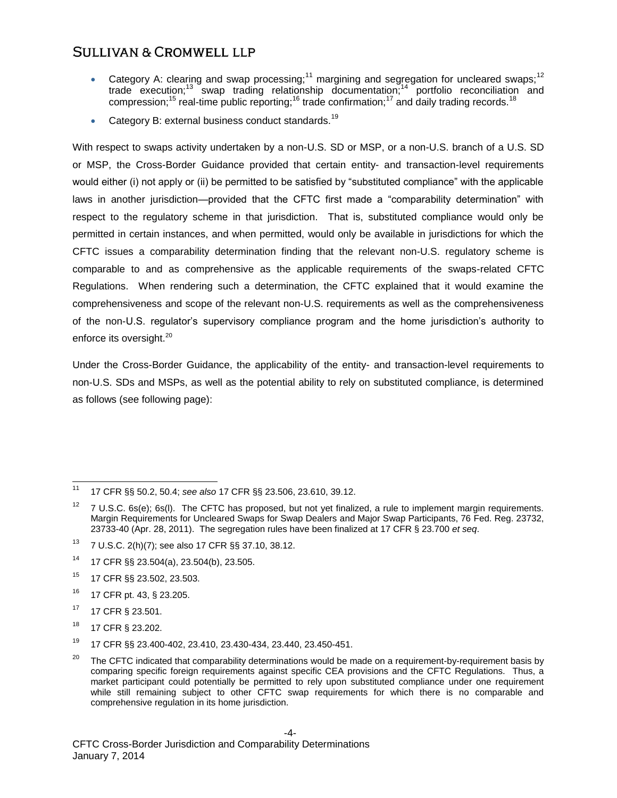- Category A: clearing and swap processing;<sup>11</sup> margining and segregation for uncleared swaps;<sup>12</sup> trade execution;<sup>13</sup> swap trading relationship documentation;<sup>14</sup> portfolio reconciliation and compression;<sup>15</sup> real-time public reporting;<sup>16</sup> trade confirmation;<sup>17</sup> and daily trading records.<sup>18</sup>
- Category B: external business conduct standards.<sup>19</sup>

With respect to swaps activity undertaken by a non-U.S. SD or MSP, or a non-U.S. branch of a U.S. SD or MSP, the Cross-Border Guidance provided that certain entity- and transaction-level requirements would either (i) not apply or (ii) be permitted to be satisfied by "substituted compliance" with the applicable laws in another jurisdiction—provided that the CFTC first made a "comparability determination" with respect to the regulatory scheme in that jurisdiction. That is, substituted compliance would only be permitted in certain instances, and when permitted, would only be available in jurisdictions for which the CFTC issues a comparability determination finding that the relevant non-U.S. regulatory scheme is comparable to and as comprehensive as the applicable requirements of the swaps-related CFTC Regulations. When rendering such a determination, the CFTC explained that it would examine the comprehensiveness and scope of the relevant non-U.S. requirements as well as the comprehensiveness of the non-U.S. regulator's supervisory compliance program and the home jurisdiction's authority to enforce its oversight.<sup>20</sup>

Under the Cross-Border Guidance, the applicability of the entity- and transaction-level requirements to non-U.S. SDs and MSPs, as well as the potential ability to rely on substituted compliance, is determined as follows (see following page):

- <sup>13</sup> 7 U.S.C. 2(h)(7); see also 17 CFR §§ 37.10, 38.12.
- <sup>14</sup> 17 CFR §§ 23.504(a), 23.504(b), 23.505.
- <sup>15</sup> 17 CFR §§ 23.502, 23.503.
- <sup>16</sup> 17 CFR pt. 43, § 23.205.
- <sup>17</sup> 17 CFR § 23.501.
- <sup>18</sup> 17 CFR § 23.202.
- <sup>19</sup> 17 CFR §§ 23.400-402, 23.410, 23.430-434, 23.440, 23.450-451.

 $11$ <sup>11</sup> 17 CFR §§ 50.2, 50.4; *see also* 17 CFR §§ 23.506, 23.610, 39.12.

<sup>&</sup>lt;sup>12</sup> 7 U.S.C. 6s(e); 6s(l). The CFTC has proposed, but not yet finalized, a rule to implement margin requirements. Margin Requirements for Uncleared Swaps for Swap Dealers and Major Swap Participants, 76 Fed. Reg. 23732, 23733-40 (Apr. 28, 2011). The segregation rules have been finalized at 17 CFR § 23.700 *et seq*.

<sup>&</sup>lt;sup>20</sup> The CFTC indicated that comparability determinations would be made on a requirement-by-requirement basis by comparing specific foreign requirements against specific CEA provisions and the CFTC Regulations. Thus, a market participant could potentially be permitted to rely upon substituted compliance under one requirement while still remaining subject to other CFTC swap requirements for which there is no comparable and comprehensive regulation in its home jurisdiction.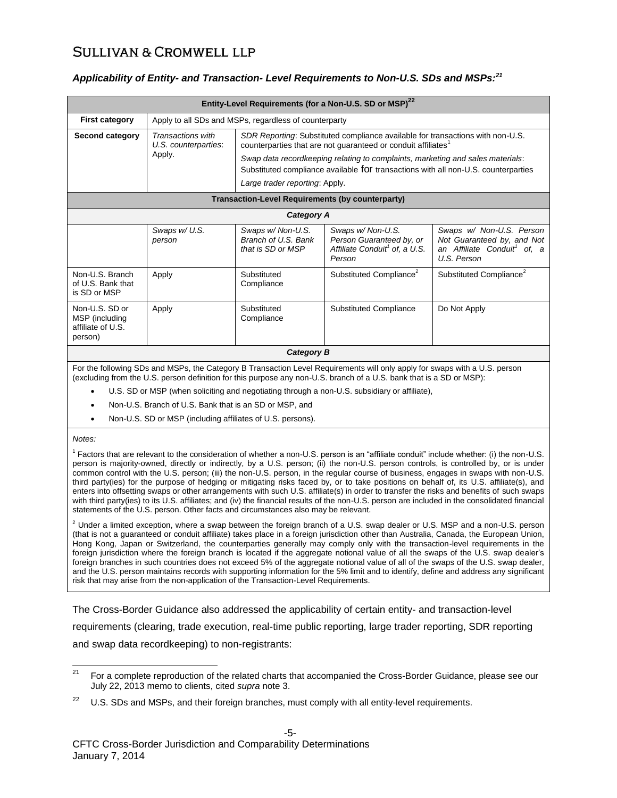#### *Applicability of Entity- and Transaction- Level Requirements to Non-U.S. SDs and MSPs:<sup>21</sup>*

| Entity-Level Requirements (for a Non-U.S. SD or MSP) <sup>22</sup>                                                         |                                                       |                                                                                                                                                                                                                                                                                                                                                                       |                                                                                                      |                                                                                                                  |  |
|----------------------------------------------------------------------------------------------------------------------------|-------------------------------------------------------|-----------------------------------------------------------------------------------------------------------------------------------------------------------------------------------------------------------------------------------------------------------------------------------------------------------------------------------------------------------------------|------------------------------------------------------------------------------------------------------|------------------------------------------------------------------------------------------------------------------|--|
| <b>First category</b>                                                                                                      | Apply to all SDs and MSPs, regardless of counterparty |                                                                                                                                                                                                                                                                                                                                                                       |                                                                                                      |                                                                                                                  |  |
| Second category                                                                                                            | Transactions with<br>U.S. counterparties:<br>Apply.   | SDR Reporting: Substituted compliance available for transactions with non-U.S.<br>counterparties that are not guaranteed or conduit affiliates <sup>1</sup><br>Swap data recordkeeping relating to complaints, marketing and sales materials:<br>Substituted compliance available for transactions with all non-U.S. counterparties<br>Large trader reporting: Apply. |                                                                                                      |                                                                                                                  |  |
| Transaction-Level Requirements (by counterparty)                                                                           |                                                       |                                                                                                                                                                                                                                                                                                                                                                       |                                                                                                      |                                                                                                                  |  |
| Category A                                                                                                                 |                                                       |                                                                                                                                                                                                                                                                                                                                                                       |                                                                                                      |                                                                                                                  |  |
|                                                                                                                            | Swaps w/ U.S.<br>person                               | Swaps w/ Non-U.S.<br>Branch of U.S. Bank<br>that is SD or MSP                                                                                                                                                                                                                                                                                                         | Swaps w/ Non-U.S.<br>Person Guaranteed by, or<br>Affiliate Conduit <sup>1</sup> of, a U.S.<br>Person | Swaps w/ Non-U.S. Person<br>Not Guaranteed by, and Not<br>an Affiliate Conduit <sup>1</sup> of, a<br>U.S. Person |  |
| Non-U.S. Branch<br>of U.S. Bank that<br>is SD or MSP                                                                       | Apply                                                 | Substituted<br>Compliance                                                                                                                                                                                                                                                                                                                                             | Substituted Compliance <sup>2</sup>                                                                  | Substituted Compliance <sup>2</sup>                                                                              |  |
| Non-U.S. SD or<br>MSP (including<br>affiliate of U.S.<br>person)                                                           | Apply                                                 | Substituted<br>Compliance                                                                                                                                                                                                                                                                                                                                             | <b>Substituted Compliance</b>                                                                        | Do Not Apply                                                                                                     |  |
| Category B                                                                                                                 |                                                       |                                                                                                                                                                                                                                                                                                                                                                       |                                                                                                      |                                                                                                                  |  |
| For the following SDs and MSDs, the Category B Transaction Lovel Pequirements will only apply for swaps with a U.S. person |                                                       |                                                                                                                                                                                                                                                                                                                                                                       |                                                                                                      |                                                                                                                  |  |

For the following SDs and MSPs, the Category B Transaction Level Requirements will only apply for swaps with a U.S. person (excluding from the U.S. person definition for this purpose any non-U.S. branch of a U.S. bank that is a SD or MSP):

- U.S. SD or MSP (when soliciting and negotiating through a non-U.S. subsidiary or affiliate),
- Non-U.S. Branch of U.S. Bank that is an SD or MSP, and
- Non-U.S. SD or MSP (including affiliates of U.S. persons).

#### *Notes:*

<sup>1</sup> Factors that are relevant to the consideration of whether a non-U.S. person is an "affiliate conduit" include whether: (i) the non-U.S. person is majority-owned, directly or indirectly, by a U.S. person; (ii) the non-U.S. person controls, is controlled by, or is under common control with the U.S. person; (iii) the non-U.S. person, in the regular course of business, engages in swaps with non-U.S. third party(ies) for the purpose of hedging or mitigating risks faced by, or to take positions on behalf of, its U.S. affiliate(s), and enters into offsetting swaps or other arrangements with such U.S. affiliate(s) in order to transfer the risks and benefits of such swaps with third party(ies) to its U.S. affiliates; and (iv) the financial results of the non-U.S. person are included in the consolidated financial statements of the U.S. person. Other facts and circumstances also may be relevant.

 $2$  Under a limited exception, where a swap between the foreign branch of a U.S. swap dealer or U.S. MSP and a non-U.S. person (that is not a guaranteed or conduit affiliate) takes place in a foreign jurisdiction other than Australia, Canada, the European Union, Hong Kong, Japan or Switzerland, the counterparties generally may comply only with the transaction-level requirements in the foreign jurisdiction where the foreign branch is located if the aggregate notional value of all the swaps of the U.S. swap dealer's foreign branches in such countries does not exceed 5% of the aggregate notional value of all of the swaps of the U.S. swap dealer, and the U.S. person maintains records with supporting information for the 5% limit and to identify, define and address any significant risk that may arise from the non-application of the Transaction-Level Requirements.

The Cross-Border Guidance also addressed the applicability of certain entity- and transaction-level requirements (clearing, trade execution, real-time public reporting, large trader reporting, SDR reporting and swap data recordkeeping) to non-registrants:

 $21$ <sup>21</sup> For a complete reproduction of the related charts that accompanied the Cross-Border Guidance, please see our July 22, 2013 memo to clients, cited *supra* not[e 3.](#page-2-0)

 $22$  U.S. SDs and MSPs, and their foreign branches, must comply with all entity-level requirements.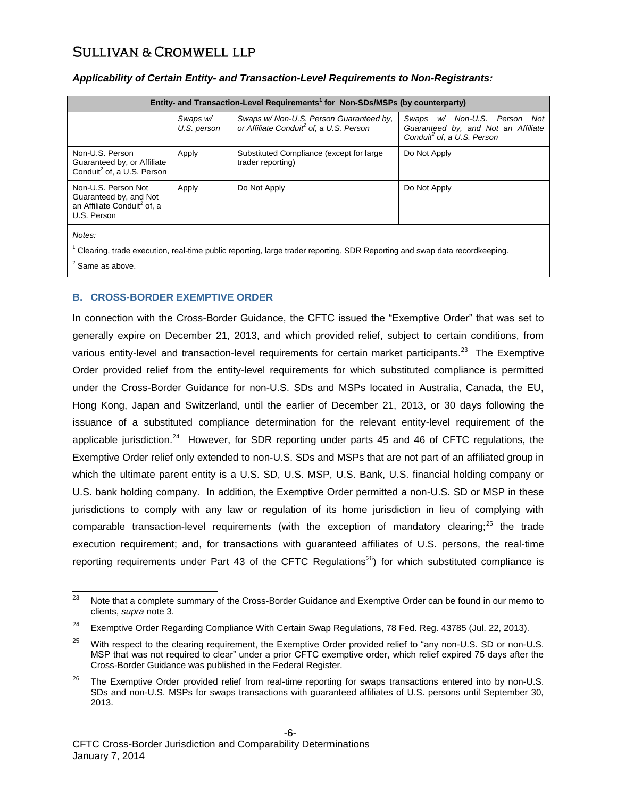| Entity- and Transaction-Level Requirements <sup>1</sup> for Non-SDs/MSPs (by counterparty)              |                         |                                                                                                |                                                                                                               |  |  |
|---------------------------------------------------------------------------------------------------------|-------------------------|------------------------------------------------------------------------------------------------|---------------------------------------------------------------------------------------------------------------|--|--|
|                                                                                                         | Swaps w/<br>U.S. person | Swaps w/ Non-U.S. Person Guaranteed by.<br>or Affiliate Conduit <sup>2</sup> of, a U.S. Person | Swaps w/ Non-U.S. Person Not<br>Guaranteed by, and Not an Affiliate<br>Conduit <sup>2</sup> of, a U.S. Person |  |  |
| Non-U.S. Person<br>Guaranteed by, or Affiliate<br>Conduit <sup>2</sup> of, a U.S. Person                | Apply                   | Substituted Compliance (except for large<br>trader reporting)                                  | Do Not Apply                                                                                                  |  |  |
| Non-U.S. Person Not<br>Guaranteed by, and Not<br>an Affiliate Conduit <sup>2</sup> of, a<br>U.S. Person | Apply                   | Do Not Apply                                                                                   | Do Not Apply                                                                                                  |  |  |
| Notes:                                                                                                  |                         |                                                                                                |                                                                                                               |  |  |

#### *Applicability of Certain Entity- and Transaction-Level Requirements to Non-Registrants:*

 $1$  Clearing, trade execution, real-time public reporting, large trader reporting, SDR Reporting and swap data recordkeeping.

 $2$  Same as above.

#### **B. CROSS-BORDER EXEMPTIVE ORDER**

In connection with the Cross-Border Guidance, the CFTC issued the "Exemptive Order" that was set to generally expire on December 21, 2013, and which provided relief, subject to certain conditions, from various entity-level and transaction-level requirements for certain market participants.<sup>23</sup> The Exemptive Order provided relief from the entity-level requirements for which substituted compliance is permitted under the Cross-Border Guidance for non-U.S. SDs and MSPs located in Australia, Canada, the EU, Hong Kong, Japan and Switzerland, until the earlier of December 21, 2013, or 30 days following the issuance of a substituted compliance determination for the relevant entity-level requirement of the applicable jurisdiction.<sup>24</sup> However, for SDR reporting under parts 45 and 46 of CFTC regulations, the Exemptive Order relief only extended to non-U.S. SDs and MSPs that are not part of an affiliated group in which the ultimate parent entity is a U.S. SD, U.S. MSP, U.S. Bank, U.S. financial holding company or U.S. bank holding company. In addition, the Exemptive Order permitted a non-U.S. SD or MSP in these jurisdictions to comply with any law or regulation of its home jurisdiction in lieu of complying with comparable transaction-level requirements (with the exception of mandatory clearing;<sup>25</sup> the trade execution requirement; and, for transactions with guaranteed affiliates of U.S. persons, the real-time reporting requirements under Part 43 of the CFTC Regulations<sup>26</sup>) for which substituted compliance is

<sup>23</sup> Note that a complete summary of the Cross-Border Guidance and Exemptive Order can be found in our memo to clients, *supra* not[e 3.](#page-2-0)

<sup>&</sup>lt;sup>24</sup> Exemptive Order Regarding Compliance With Certain Swap Regulations, 78 Fed. Reg. 43785 (Jul. 22, 2013).

<sup>&</sup>lt;sup>25</sup> With respect to the clearing requirement, the Exemptive Order provided relief to "any non-U.S. SD or non-U.S. MSP that was not required to clear" under a prior CFTC exemptive order, which relief expired 75 days after the Cross-Border Guidance was published in the Federal Register.

<sup>&</sup>lt;sup>26</sup> The Exemptive Order provided relief from real-time reporting for swaps transactions entered into by non-U.S. SDs and non-U.S. MSPs for swaps transactions with guaranteed affiliates of U.S. persons until September 30, 2013.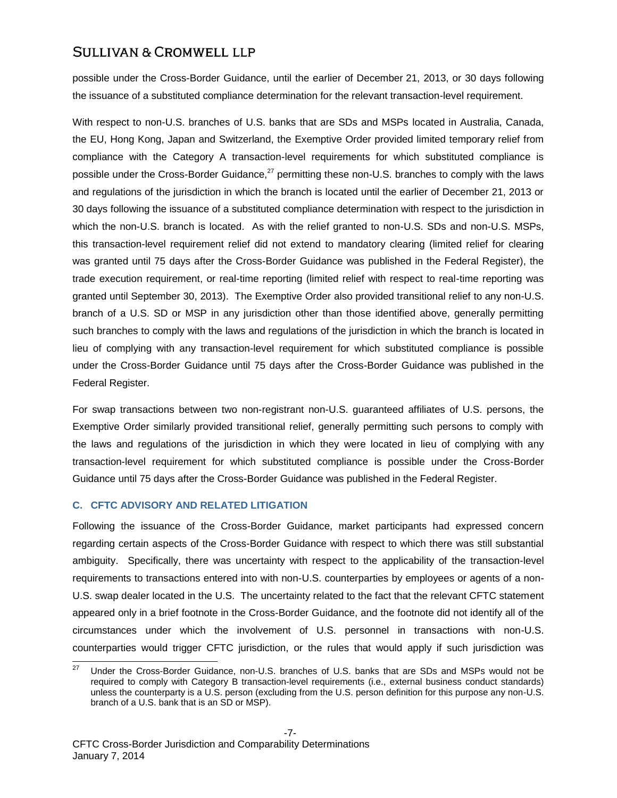possible under the Cross-Border Guidance, until the earlier of December 21, 2013, or 30 days following the issuance of a substituted compliance determination for the relevant transaction-level requirement.

With respect to non-U.S. branches of U.S. banks that are SDs and MSPs located in Australia, Canada, the EU, Hong Kong, Japan and Switzerland, the Exemptive Order provided limited temporary relief from compliance with the Category A transaction-level requirements for which substituted compliance is possible under the Cross-Border Guidance.<sup>27</sup> permitting these non-U.S. branches to comply with the laws and regulations of the jurisdiction in which the branch is located until the earlier of December 21, 2013 or 30 days following the issuance of a substituted compliance determination with respect to the jurisdiction in which the non-U.S. branch is located. As with the relief granted to non-U.S. SDs and non-U.S. MSPs, this transaction-level requirement relief did not extend to mandatory clearing (limited relief for clearing was granted until 75 days after the Cross-Border Guidance was published in the Federal Register), the trade execution requirement, or real-time reporting (limited relief with respect to real-time reporting was granted until September 30, 2013). The Exemptive Order also provided transitional relief to any non-U.S. branch of a U.S. SD or MSP in any jurisdiction other than those identified above, generally permitting such branches to comply with the laws and regulations of the jurisdiction in which the branch is located in lieu of complying with any transaction-level requirement for which substituted compliance is possible under the Cross-Border Guidance until 75 days after the Cross-Border Guidance was published in the Federal Register.

For swap transactions between two non-registrant non-U.S. guaranteed affiliates of U.S. persons, the Exemptive Order similarly provided transitional relief, generally permitting such persons to comply with the laws and regulations of the jurisdiction in which they were located in lieu of complying with any transaction-level requirement for which substituted compliance is possible under the Cross-Border Guidance until 75 days after the Cross-Border Guidance was published in the Federal Register.

#### **C. CFTC ADVISORY AND RELATED LITIGATION**

Following the issuance of the Cross-Border Guidance, market participants had expressed concern regarding certain aspects of the Cross-Border Guidance with respect to which there was still substantial ambiguity. Specifically, there was uncertainty with respect to the applicability of the transaction-level requirements to transactions entered into with non-U.S. counterparties by employees or agents of a non-U.S. swap dealer located in the U.S. The uncertainty related to the fact that the relevant CFTC statement appeared only in a brief footnote in the Cross-Border Guidance, and the footnote did not identify all of the circumstances under which the involvement of U.S. personnel in transactions with non-U.S. counterparties would trigger CFTC jurisdiction, or the rules that would apply if such jurisdiction was

<sup>27</sup> Under the Cross-Border Guidance, non-U.S. branches of U.S. banks that are SDs and MSPs would not be required to comply with Category B transaction-level requirements (i.e., external business conduct standards) unless the counterparty is a U.S. person (excluding from the U.S. person definition for this purpose any non-U.S. branch of a U.S. bank that is an SD or MSP).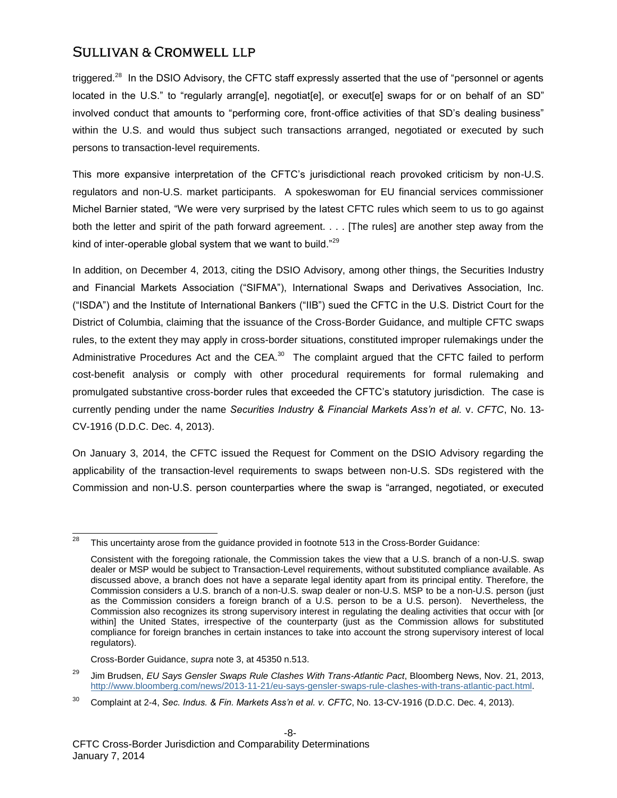triggered.<sup>28</sup> In the DSIO Advisory, the CFTC staff expressly asserted that the use of "personnel or agents located in the U.S." to "regularly arrang[e], negotiat[e], or execut[e] swaps for or on behalf of an SD" involved conduct that amounts to "performing core, front-office activities of that SD's dealing business" within the U.S. and would thus subject such transactions arranged, negotiated or executed by such persons to transaction-level requirements.

This more expansive interpretation of the CFTC's jurisdictional reach provoked criticism by non-U.S. regulators and non-U.S. market participants. A spokeswoman for EU financial services commissioner Michel Barnier stated, "We were very surprised by the latest CFTC rules which seem to us to go against both the letter and spirit of the path forward agreement. . . . [The rules] are another step away from the kind of inter-operable global system that we want to build."<sup>29</sup>

In addition, on December 4, 2013, citing the DSIO Advisory, among other things, the Securities Industry and Financial Markets Association ("SIFMA"), International Swaps and Derivatives Association, Inc. ("ISDA") and the Institute of International Bankers ("IIB") sued the CFTC in the U.S. District Court for the District of Columbia, claiming that the issuance of the Cross-Border Guidance, and multiple CFTC swaps rules, to the extent they may apply in cross-border situations, constituted improper rulemakings under the Administrative Procedures Act and the CEA. $^{30}$  The complaint argued that the CFTC failed to perform cost-benefit analysis or comply with other procedural requirements for formal rulemaking and promulgated substantive cross-border rules that exceeded the CFTC's statutory jurisdiction. The case is currently pending under the name *Securities Industry & Financial Markets Ass'n et al.* v. *CFTC*, No. 13- CV-1916 (D.D.C. Dec. 4, 2013).

On January 3, 2014, the CFTC issued the Request for Comment on the DSIO Advisory regarding the applicability of the transaction-level requirements to swaps between non-U.S. SDs registered with the Commission and non-U.S. person counterparties where the swap is "arranged, negotiated, or executed

Cross-Border Guidance, *supra* not[e 3,](#page-2-0) at 45350 n.513.

<sup>28</sup> This uncertainty arose from the guidance provided in footnote 513 in the Cross-Border Guidance:

Consistent with the foregoing rationale, the Commission takes the view that a U.S. branch of a non-U.S. swap dealer or MSP would be subject to Transaction-Level requirements, without substituted compliance available. As discussed above, a branch does not have a separate legal identity apart from its principal entity. Therefore, the Commission considers a U.S. branch of a non-U.S. swap dealer or non-U.S. MSP to be a non-U.S. person (just as the Commission considers a foreign branch of a U.S. person to be a U.S. person). Nevertheless, the Commission also recognizes its strong supervisory interest in regulating the dealing activities that occur with [or within] the United States, irrespective of the counterparty (just as the Commission allows for substituted compliance for foreign branches in certain instances to take into account the strong supervisory interest of local regulators).

<sup>29</sup> Jim Brudsen, *EU Says Gensler Swaps Rule Clashes With Trans-Atlantic Pact*, Bloomberg News, Nov. 21, 2013, [http://www.bloomberg.com/news/2013-11-21/eu-says-gensler-swaps-rule-clashes-with-trans-atlantic-pact.html.](http://www.bloomberg.com/news/2013-11-21/eu-says-gensler-swaps-rule-clashes-with-trans-atlantic-pact.html)

<sup>30</sup> Complaint at 2-4, *Sec. Indus. & Fin. Markets Ass'n et al. v. CFTC*, No. 13-CV-1916 (D.D.C. Dec. 4, 2013).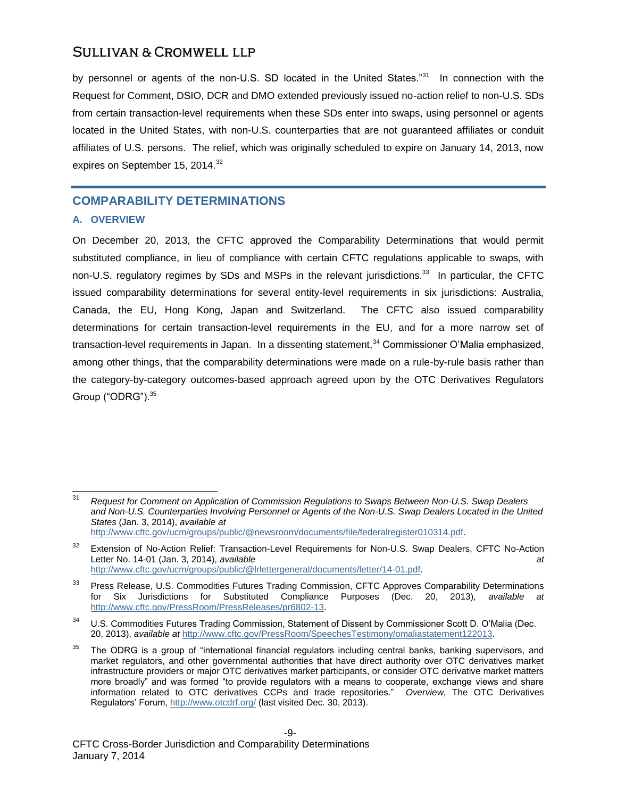by personnel or agents of the non-U.S. SD located in the United States."<sup>31</sup> In connection with the Request for Comment, DSIO, DCR and DMO extended previously issued no-action relief to non-U.S. SDs from certain transaction-level requirements when these SDs enter into swaps, using personnel or agents located in the United States, with non-U.S. counterparties that are not guaranteed affiliates or conduit affiliates of U.S. persons. The relief, which was originally scheduled to expire on January 14, 2013, now expires on September 15, 2014.<sup>32</sup>

### **COMPARABILITY DETERMINATIONS**

#### **A. OVERVIEW**

On December 20, 2013, the CFTC approved the Comparability Determinations that would permit substituted compliance, in lieu of compliance with certain CFTC regulations applicable to swaps, with non-U.S. regulatory regimes by SDs and MSPs in the relevant jurisdictions.<sup>33</sup> In particular, the CFTC issued comparability determinations for several entity-level requirements in six jurisdictions: Australia, Canada, the EU, Hong Kong, Japan and Switzerland. The CFTC also issued comparability determinations for certain transaction-level requirements in the EU, and for a more narrow set of transaction-level requirements in Japan. In a dissenting statement,<sup>34</sup> Commissioner O'Malia emphasized, among other things, that the comparability determinations were made on a rule-by-rule basis rather than the category-by-category outcomes-based approach agreed upon by the OTC Derivatives Regulators Group ("ODRG").<sup>35</sup>

 $31$ <sup>31</sup> *Request for Comment on Application of Commission Regulations to Swaps Between Non-U.S. Swap Dealers and Non-U.S. Counterparties Involving Personnel or Agents of the Non-U.S. Swap Dealers Located in the United States* (Jan. 3, 2014), *available at*

[http://www.cftc.gov/ucm/groups/public/@newsroom/documents/file/federalregister010314.pdf.](http://www.cftc.gov/ucm/groups/public/@newsroom/documents/file/federalregister010314.pdf)

<sup>&</sup>lt;sup>32</sup> Extension of No-Action Relief: Transaction-Level Requirements for Non-U.S. Swap Dealers, CFTC No-Action Letter No. 14-01 (Jan. 3, 2014), *available at*  [http://www.cftc.gov/ucm/groups/public/@lrlettergeneral/documents/letter/14-01.pdf.](http://www.cftc.gov/ucm/groups/public/@lrlettergeneral/documents/letter/14-01.pdf) 

<sup>&</sup>lt;sup>33</sup> Press Release, U.S. Commodities Futures Trading Commission, CFTC Approves Comparability Determinations for Six Jurisdictions for Substituted Compliance Purposes (Dec. 20, 2013), *available at*  [http://www.cftc.gov/PressRoom/PressReleases/pr6802-13.](http://www.cftc.gov/PressRoom/PressReleases/pr6802-13)

U.S. Commodities Futures Trading Commission, Statement of Dissent by Commissioner Scott D. O'Malia (Dec. 20, 2013), *available at* [http://www.cftc.gov/PressRoom/SpeechesTestimony/omaliastatement122013.](http://www.cftc.gov/PressRoom/SpeechesTestimony/omaliastatement122013)

<sup>&</sup>lt;sup>35</sup> The ODRG is a group of "international financial regulators including central banks, banking supervisors, and market regulators, and other governmental authorities that have direct authority over OTC derivatives market infrastructure providers or major OTC derivatives market participants, or consider OTC derivative market matters more broadly" and was formed "to provide regulators with a means to cooperate, exchange views and share information related to OTC derivatives CCPs and trade repositories." *Overview*, The OTC Derivatives Regulators' Forum,<http://www.otcdrf.org/> (last visited Dec. 30, 2013).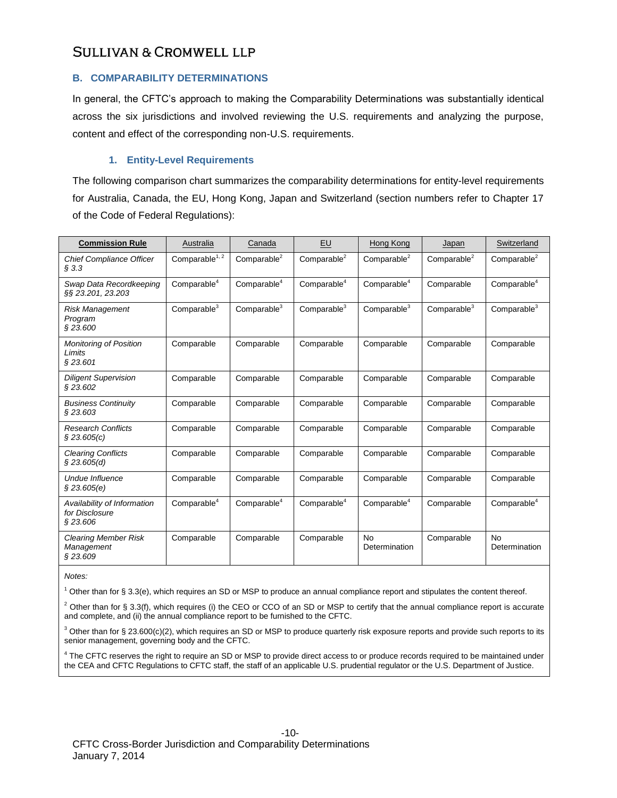#### **B. COMPARABILITY DETERMINATIONS**

In general, the CFTC's approach to making the Comparability Determinations was substantially identical across the six jurisdictions and involved reviewing the U.S. requirements and analyzing the purpose, content and effect of the corresponding non-U.S. requirements.

#### **1. Entity-Level Requirements**

The following comparison chart summarizes the comparability determinations for entity-level requirements for Australia, Canada, the EU, Hong Kong, Japan and Switzerland (section numbers refer to Chapter 17 of the Code of Federal Regulations):

| <b>Commission Rule</b>                                    | Australia               | Canada                  | EU                      | Hong Kong                  | Japan                   | Switzerland                |
|-----------------------------------------------------------|-------------------------|-------------------------|-------------------------|----------------------------|-------------------------|----------------------------|
| <b>Chief Compliance Officer</b><br>$§$ 3.3                | Compare <sup>1, 2</sup> | Comparable <sup>2</sup> | Comparable <sup>2</sup> | Comparable <sup>2</sup>    | Comparable <sup>2</sup> | Comparable <sup>2</sup>    |
| Swap Data Recordkeeping<br>§§ 23.201, 23.203              | Comparable <sup>4</sup> | Comparable <sup>4</sup> | Comparable <sup>4</sup> | Comparable <sup>4</sup>    | Comparable              | Comparable <sup>4</sup>    |
| <b>Risk Management</b><br>Program<br>\$23.600             | Comparable $3$          | Comparable $3$          | Comparable <sup>3</sup> | Comparable <sup>3</sup>    | Comparable <sup>3</sup> | Comparable <sup>3</sup>    |
| Monitoring of Position<br>Limits<br>§23.601               | Comparable              | Comparable              | Comparable              | Comparable                 | Comparable              | Comparable                 |
| <b>Diligent Supervision</b><br>\$23.602                   | Comparable              | Comparable              | Comparable              | Comparable                 | Comparable              | Comparable                 |
| <b>Business Continuity</b><br>\$23.603                    | Comparable              | Comparable              | Comparable              | Comparable                 | Comparable              | Comparable                 |
| <b>Research Conflicts</b><br>\$23.605(c)                  | Comparable              | Comparable              | Comparable              | Comparable                 | Comparable              | Comparable                 |
| <b>Clearing Conflicts</b><br>\$23.605(d)                  | Comparable              | Comparable              | Comparable              | Comparable                 | Comparable              | Comparable                 |
| Undue Influence<br>\$23.605(e)                            | Comparable              | Comparable              | Comparable              | Comparable                 | Comparable              | Comparable                 |
| Availability of Information<br>for Disclosure<br>\$23.606 | Comparable $4$          | Comparable $4$          | Comparable <sup>4</sup> | Comparable <sup>4</sup>    | Comparable              | Comparable <sup>4</sup>    |
| <b>Clearing Member Risk</b><br>Management<br>\$23.609     | Comparable              | Comparable              | Comparable              | <b>No</b><br>Determination | Comparable              | <b>No</b><br>Determination |

*Notes:*

 $1$  Other than for § 3.3(e), which requires an SD or MSP to produce an annual compliance report and stipulates the content thereof.

 $2$  Other than for § 3.3(f), which requires (i) the CEO or CCO of an SD or MSP to certify that the annual compliance report is accurate and complete, and (ii) the annual compliance report to be furnished to the CFTC.

 $3$  Other than for § 23.600(c)(2), which requires an SD or MSP to produce quarterly risk exposure reports and provide such reports to its senior management, governing body and the CFTC.

<sup>4</sup> The CFTC reserves the right to require an SD or MSP to provide direct access to or produce records required to be maintained under the CEA and CFTC Regulations to CFTC staff, the staff of an applicable U.S. prudential regulator or the U.S. Department of Justice.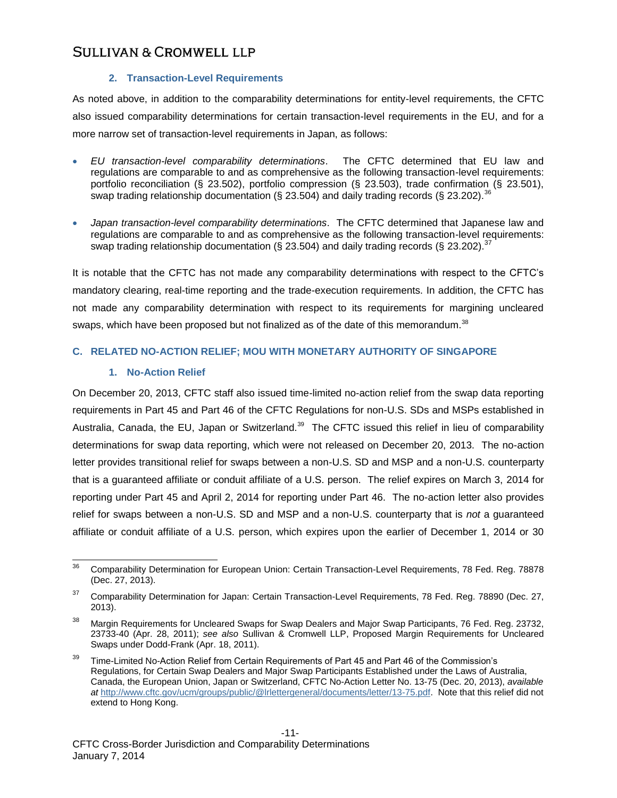#### **2. Transaction-Level Requirements**

As noted above, in addition to the comparability determinations for entity-level requirements, the CFTC also issued comparability determinations for certain transaction-level requirements in the EU, and for a more narrow set of transaction-level requirements in Japan, as follows:

- *EU transaction-level comparability determinations*. The CFTC determined that EU law and regulations are comparable to and as comprehensive as the following transaction-level requirements: portfolio reconciliation (§ 23.502), portfolio compression (§ 23.503), trade confirmation (§ 23.501), swap trading relationship documentation (§ 23.504) and daily trading records (§ 23.202).<sup>36</sup>
- *Japan transaction-level comparability determinations*. The CFTC determined that Japanese law and regulations are comparable to and as comprehensive as the following transaction-level requirements: swap trading relationship documentation (§ 23.504) and daily trading records (§ 23.202).<sup>37</sup>

It is notable that the CFTC has not made any comparability determinations with respect to the CFTC's mandatory clearing, real-time reporting and the trade-execution requirements. In addition, the CFTC has not made any comparability determination with respect to its requirements for margining uncleared swaps, which have been proposed but not finalized as of the date of this memorandum.<sup>38</sup>

#### **C. RELATED NO-ACTION RELIEF; MOU WITH MONETARY AUTHORITY OF SINGAPORE**

#### **1. No-Action Relief**

On December 20, 2013, CFTC staff also issued time-limited no-action relief from the swap data reporting requirements in Part 45 and Part 46 of the CFTC Regulations for non-U.S. SDs and MSPs established in Australia, Canada, the EU, Japan or Switzerland.<sup>39</sup> The CFTC issued this relief in lieu of comparability determinations for swap data reporting, which were not released on December 20, 2013. The no-action letter provides transitional relief for swaps between a non-U.S. SD and MSP and a non-U.S. counterparty that is a guaranteed affiliate or conduit affiliate of a U.S. person. The relief expires on March 3, 2014 for reporting under Part 45 and April 2, 2014 for reporting under Part 46. The no-action letter also provides relief for swaps between a non-U.S. SD and MSP and a non-U.S. counterparty that is *not* a guaranteed affiliate or conduit affiliate of a U.S. person, which expires upon the earlier of December 1, 2014 or 30

<sup>36</sup> <sup>36</sup> Comparability Determination for European Union: Certain Transaction-Level Requirements, 78 Fed. Reg. 78878 (Dec. 27, 2013).

<sup>&</sup>lt;sup>37</sup> Comparability Determination for Japan: Certain Transaction-Level Requirements, 78 Fed. Reg. 78890 (Dec. 27, 2013).

<sup>38</sup> Margin Requirements for Uncleared Swaps for Swap Dealers and Major Swap Participants, 76 Fed. Reg. 23732, 23733-40 (Apr. 28, 2011); *see also* Sullivan & Cromwell LLP, Proposed Margin Requirements for Uncleared Swaps under Dodd-Frank (Apr. 18, 2011).

<sup>&</sup>lt;sup>39</sup> Time-Limited No-Action Relief from Certain Requirements of Part 45 and Part 46 of the Commission's Regulations, for Certain Swap Dealers and Major Swap Participants Established under the Laws of Australia, Canada, the European Union, Japan or Switzerland, CFTC No-Action Letter No. 13-75 (Dec. 20, 2013), *available at* [http://www.cftc.gov/ucm/groups/public/@lrlettergeneral/documents/letter/13-75.pdf.](http://www.cftc.gov/ucm/groups/public/@lrlettergeneral/documents/letter/13-75.pdf) Note that this relief did not extend to Hong Kong.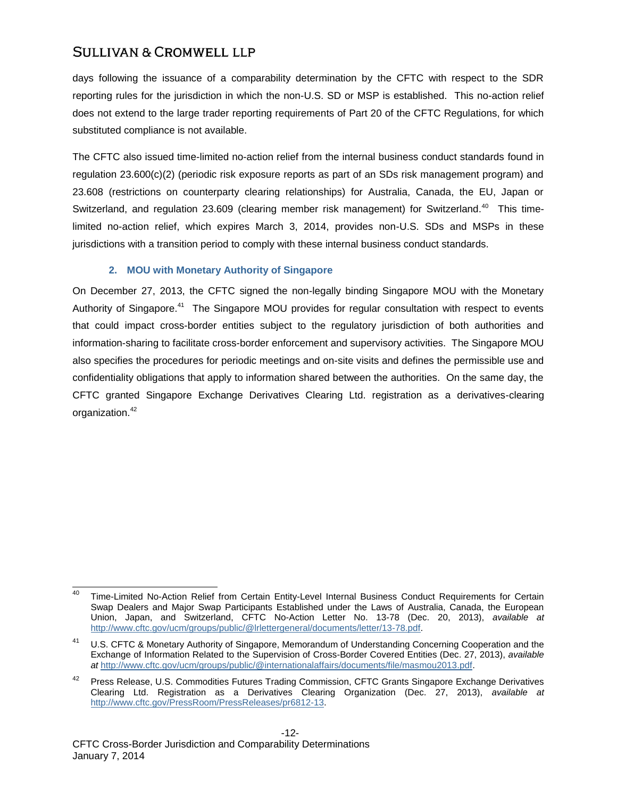days following the issuance of a comparability determination by the CFTC with respect to the SDR reporting rules for the jurisdiction in which the non-U.S. SD or MSP is established. This no-action relief does not extend to the large trader reporting requirements of Part 20 of the CFTC Regulations, for which substituted compliance is not available.

The CFTC also issued time-limited no-action relief from the internal business conduct standards found in regulation 23.600(c)(2) (periodic risk exposure reports as part of an SDs risk management program) and 23.608 (restrictions on counterparty clearing relationships) for Australia, Canada, the EU, Japan or Switzerland, and regulation 23.609 (clearing member risk management) for Switzerland.<sup>40</sup> This timelimited no-action relief, which expires March 3, 2014, provides non-U.S. SDs and MSPs in these jurisdictions with a transition period to comply with these internal business conduct standards.

#### **2. MOU with Monetary Authority of Singapore**

On December 27, 2013, the CFTC signed the non-legally binding Singapore MOU with the Monetary Authority of Singapore.<sup>41</sup> The Singapore MOU provides for regular consultation with respect to events that could impact cross-border entities subject to the regulatory jurisdiction of both authorities and information-sharing to facilitate cross-border enforcement and supervisory activities. The Singapore MOU also specifies the procedures for periodic meetings and on-site visits and defines the permissible use and confidentiality obligations that apply to information shared between the authorities. On the same day, the CFTC granted Singapore Exchange Derivatives Clearing Ltd. registration as a derivatives-clearing organization.<sup>42</sup>

<sup>40</sup> <sup>40</sup> Time-Limited No-Action Relief from Certain Entity-Level Internal Business Conduct Requirements for Certain Swap Dealers and Major Swap Participants Established under the Laws of Australia, Canada, the European Union, Japan, and Switzerland, CFTC No-Action Letter No. 13-78 (Dec. 20, 2013), *available at*  [http://www.cftc.gov/ucm/groups/public/@lrlettergeneral/documents/letter/13-78.pdf.](http://www.cftc.gov/ucm/groups/public/@lrlettergeneral/documents/letter/13-78.pdf) 

U.S. CFTC & Monetary Authority of Singapore, Memorandum of Understanding Concerning Cooperation and the Exchange of Information Related to the Supervision of Cross-Border Covered Entities (Dec. 27, 2013), *available at* [http://www.cftc.gov/ucm/groups/public/@internationalaffairs/documents/file/masmou2013.pdf.](http://www.cftc.gov/ucm/groups/public/@internationalaffairs/documents/file/masmou2013.pdf)

Press Release, U.S. Commodities Futures Trading Commission, CFTC Grants Singapore Exchange Derivatives Clearing Ltd. Registration as a Derivatives Clearing Organization (Dec. 27, 2013), *available at*  [http://www.cftc.gov/PressRoom/PressReleases/pr6812-13.](http://www.cftc.gov/PressRoom/PressReleases/pr6812-13)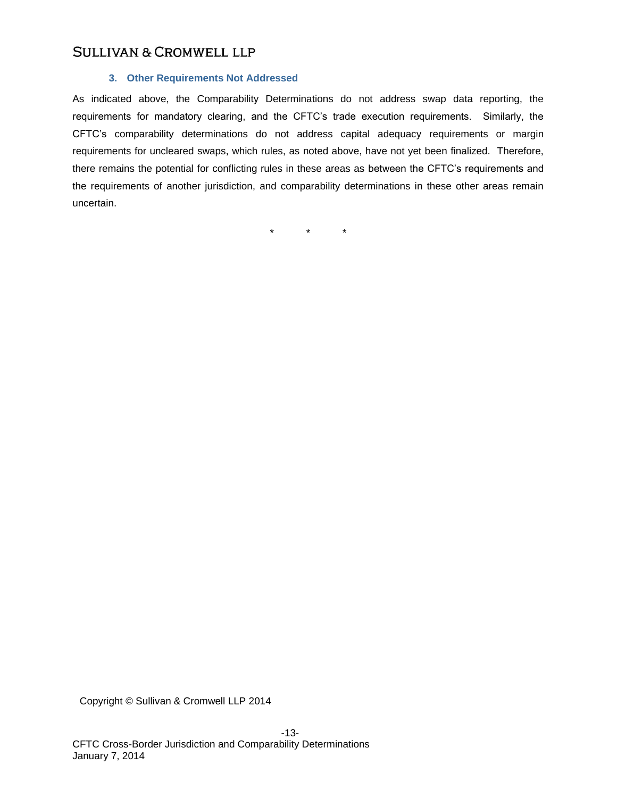#### **3. Other Requirements Not Addressed**

As indicated above, the Comparability Determinations do not address swap data reporting, the requirements for mandatory clearing, and the CFTC's trade execution requirements. Similarly, the CFTC's comparability determinations do not address capital adequacy requirements or margin requirements for uncleared swaps, which rules, as noted above, have not yet been finalized. Therefore, there remains the potential for conflicting rules in these areas as between the CFTC's requirements and the requirements of another jurisdiction, and comparability determinations in these other areas remain uncertain.

\* \* \*

Copyright © Sullivan & Cromwell LLP 2014